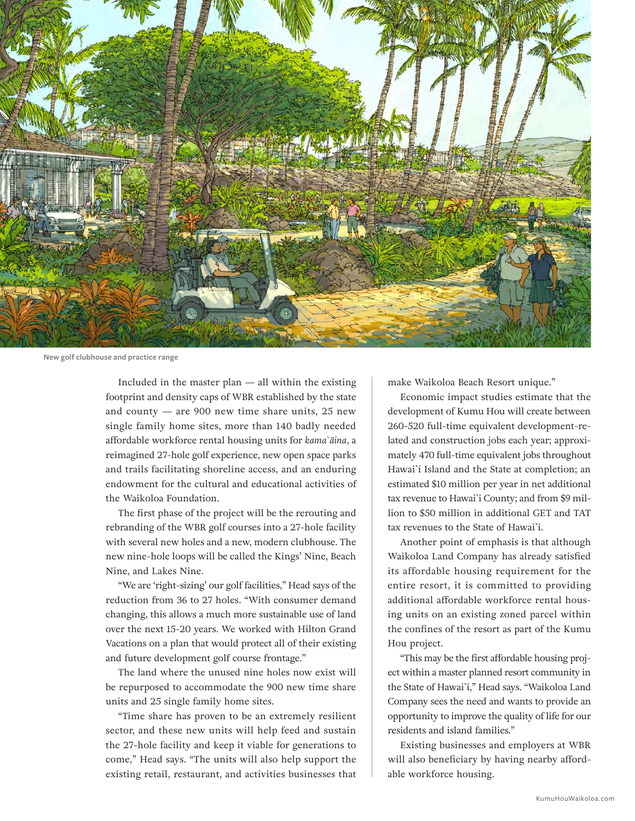

**New golf clubhouse and practice range**

Included in the master plan — all within the existing footprint and density caps of WBR established by the state and county — are 900 new time share units, 25 new single family home sites, more than 140 badly needed affordable workforce rental housing units for *kama`āina*, a reimagined 27-hole golf experience, new open space parks and trails facilitating shoreline access, and an enduring endowment for the cultural and educational activities of the Waikoloa Foundation.

The first phase of the project will be the rerouting and rebranding of the WBR golf courses into a 27-hole facility with several new holes and a new, modern clubhouse. The new nine-hole loops will be called the Kings' Nine, Beach Nine, and Lakes Nine.

"We are 'right-sizing' our golf facilities," Head says of the reduction from 36 to 27 holes. "With consumer demand changing, this allows a much more sustainable use of land over the next 15-20 years. We worked with Hilton Grand Vacations on a plan that would protect all of their existing and future development golf course frontage."

The land where the unused nine holes now exist will be repurposed to accommodate the 900 new time share units and 25 single family home sites.

"Time share has proven to be an extremely resilient sector, and these new units will help feed and sustain the 27-hole facility and keep it viable for generations to come," Head says. "The units will also help support the existing retail, restaurant, and activities businesses that make Waikoloa Beach Resort unique."

Economic impact studies estimate that the development of Kumu Hou will create between 260-520 full-time equivalent development-related and construction jobs each year; approximately 470 full-time equivalent jobs throughout Hawai`i Island and the State at completion; an estimated \$10 million per year in net additional tax revenue to Hawai`i County; and from \$9 million to \$50 million in additional GET and TAT tax revenues to the State of Hawai`i.

Another point of emphasis is that although Waikoloa Land Company has already satisfied its affordable housing requirement for the entire resort, it is committed to providing additional affordable workforce rental housing units on an existing zoned parcel within the confines of the resort as part of the Kumu Hou project.

"This may be the first affordable housing project within a master planned resort community in the State of Hawai`i," Head says. "Waikoloa Land Company sees the need and wants to provide an opportunity to improve the quality of life for our residents and island families."

Existing businesses and employers at WBR will also beneficiary by having nearby affordable workforce housing.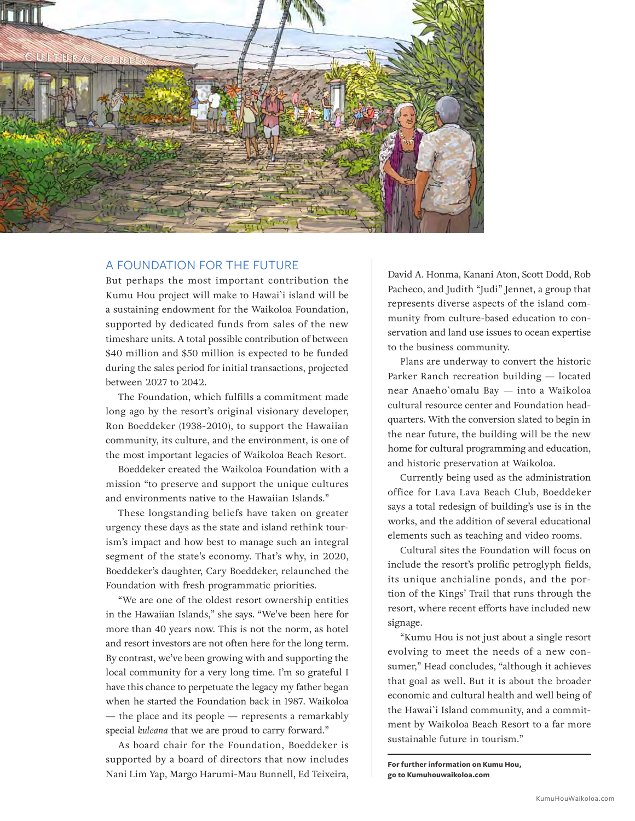

## A FOUNDATION FOR THE FUTURE

But perhaps the most important contribution the Kumu Hou project will make to Hawai`i island will be a sustaining endowment for the Waikoloa Foundation, supported by dedicated funds from sales of the new timeshare units. A total possible contribution of between \$40 million and \$50 million is expected to be funded during the sales period for initial transactions, projected between 2027 to 2042.

The Foundation, which fulfills a commitment made long ago by the resort's original visionary developer, Ron Boeddeker (1938-2010), to support the Hawaiian community, its culture, and the environment, is one of the most important legacies of Waikoloa Beach Resort.

Boeddeker created the Waikoloa Foundation with a mission "to preserve and support the unique cultures and environments native to the Hawaiian Islands."

These longstanding beliefs have taken on greater urgency these days as the state and island rethink tourism's impact and how best to manage such an integral segment of the state's economy. That's why, in 2020, Boeddeker's daughter, Cary Boeddeker, relaunched the Foundation with fresh programmatic priorities.

"We are one of the oldest resort ownership entities in the Hawaiian Islands," she says. "We've been here for more than 40 years now. This is not the norm, as hotel and resort investors are not often here for the long term. By contrast, we've been growing with and supporting the local community for a very long time. I'm so grateful I have this chance to perpetuate the legacy my father began when he started the Foundation back in 1987. Waikoloa — the place and its people — represents a remarkably special *kuleana* that we are proud to carry forward."

As board chair for the Foundation, Boeddeker is supported by a board of directors that now includes Nani Lim Yap, Margo Harumi-Mau Bunnell, Ed Teixeira,

David A. Honma, Kanani Aton, Scott Dodd, Rob Pacheco, and Judith "Judi" Jennet, a group that represents diverse aspects of the island community from culture-based education to conservation and land use issues to ocean expertise to the business community.

Plans are underway to convert the historic Parker Ranch recreation building — located near Anaeho`omalu Bay — into a Waikoloa cultural resource center and Foundation headquarters. With the conversion slated to begin in the near future, the building will be the new home for cultural programming and education, and historic preservation at Waikoloa.

Currently being used as the administration office for Lava Lava Beach Club, Boeddeker says a total redesign of building's use is in the works, and the addition of several educational elements such as teaching and video rooms.

Cultural sites the Foundation will focus on include the resort's prolific petroglyph fields, its unique anchialine ponds, and the portion of the Kings' Trail that runs through the resort, where recent efforts have included new signage.

"Kumu Hou is not just about a single resort evolving to meet the needs of a new consumer," Head concludes, "although it achieves that goal as well. But it is about the broader economic and cultural health and well being of the Hawai`i Island community, and a commitment by Waikoloa Beach Resort to a far more sustainable future in tourism."

**For further information on Kumu Hou, go to Kumuhouwaikoloa.com**